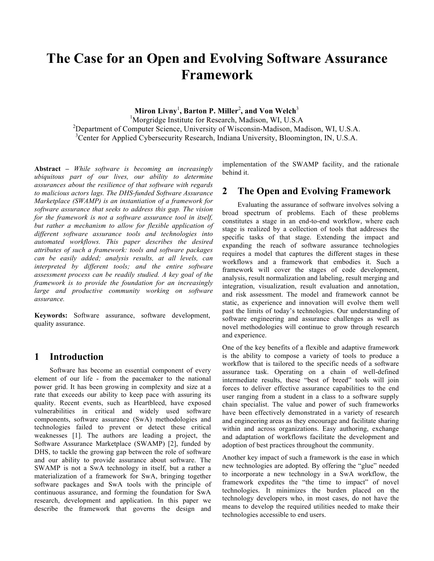# **The Case for an Open and Evolving Software Assurance Framework**

**Miron Livny**<sup>1</sup> **, Barton P. Miller**<sup>2</sup> **, and Von Welch**<sup>3</sup> <sup>1</sup>Morgridge Institute for Research, Madison, WI, U.S.A <sup>2</sup>Department of Computer Science, University of Wisconsin-Madison, Madison, WI, U.S.A. <sup>3</sup>Center for Applied Cybersecurity Research, Indiana University, Bloomington, IN, U.S.A.

**Abstract** *– While software is becoming an increasingly ubiquitous part of our lives, our ability to determine assurances about the resilience of that software with regards to malicious actors lags. The DHS-funded Software Assurance Marketplace (SWAMP) is an instantiation of a framework for software assurance that seeks to address this gap. The vision for the framework is not a software assurance tool in itself, but rather a mechanism to allow for flexible application of different software assurance tools and technologies into automated workflows. This paper describes the desired attributes of such a framework: tools and software packages can be easily added; analysis results, at all levels, can interpreted by different tools; and the entire software assessment process can be readily studied. A key goal of the framework is to provide the foundation for an increasingly large and productive community working on software assurance.*

**Keywords:** Software assurance, software development, quality assurance.

#### **1 Introduction**

Software has become an essential component of every element of our life - from the pacemaker to the national power grid. It has been growing in complexity and size at a rate that exceeds our ability to keep pace with assuring its quality. Recent events, such as Heartbleed, have exposed vulnerabilities in critical and widely used software components, software assurance (SwA) methodologies and technologies failed to prevent or detect these critical weaknesses [1]. The authors are leading a project, the Software Assurance Marketplace (SWAMP) [2], funded by DHS, to tackle the growing gap between the role of software and our ability to provide assurance about software. The SWAMP is not a SwA technology in itself, but a rather a materialization of a framework for SwA, bringing together software packages and SwA tools with the principle of continuous assurance, and forming the foundation for SwA research, development and application. In this paper we describe the framework that governs the design and

implementation of the SWAMP facility, and the rationale behind it.

#### **2 The Open and Evolving Framework**

Evaluating the assurance of software involves solving a broad spectrum of problems. Each of these problems constitutes a stage in an end-to-end workflow, where each stage is realized by a collection of tools that addresses the specific tasks of that stage. Extending the impact and expanding the reach of software assurance technologies requires a model that captures the different stages in these workflows and a framework that embodies it. Such a framework will cover the stages of code development, analysis, result normalization and labeling, result merging and integration, visualization, result evaluation and annotation, and risk assessment. The model and framework cannot be static, as experience and innovation will evolve them well past the limits of today's technologies. Our understanding of software engineering and assurance challenges as well as novel methodologies will continue to grow through research and experience.

One of the key benefits of a flexible and adaptive framework is the ability to compose a variety of tools to produce a workflow that is tailored to the specific needs of a software assurance task. Operating on a chain of well-defined intermediate results, these "best of breed" tools will join forces to deliver effective assurance capabilities to the end user ranging from a student in a class to a software supply chain specialist. The value and power of such frameworks have been effectively demonstrated in a variety of research and engineering areas as they encourage and facilitate sharing within and across organizations. Easy authoring, exchange and adaptation of workflows facilitate the development and adoption of best practices throughout the community.

Another key impact of such a framework is the ease in which new technologies are adopted. By offering the "glue" needed to incorporate a new technology in a SwA workflow, the framework expedites the "the time to impact" of novel technologies. It minimizes the burden placed on the technology developers who, in most cases, do not have the means to develop the required utilities needed to make their technologies accessible to end users.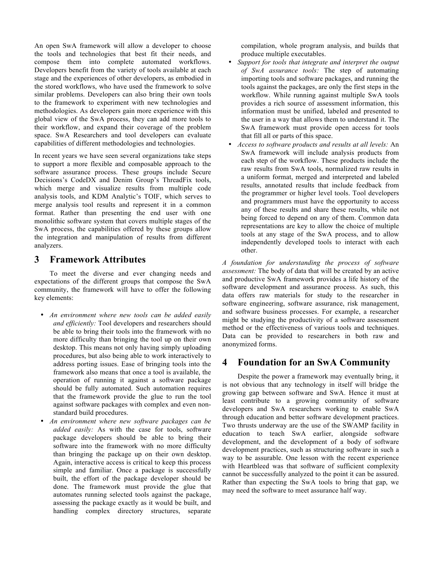An open SwA framework will allow a developer to choose the tools and technologies that best fit their needs, and compose them into complete automated workflows. Developers benefit from the variety of tools available at each stage and the experiences of other developers, as embodied in the stored workflows, who have used the framework to solve similar problems. Developers can also bring their own tools to the framework to experiment with new technologies and methodologies. As developers gain more experience with this global view of the SwA process, they can add more tools to their workflow, and expand their coverage of the problem space. SwA Researchers and tool developers can evaluate capabilities of different methodologies and technologies.

In recent years we have seen several organizations take steps to support a more flexible and composable approach to the software assurance process. These groups include Secure Decisions's CodeDX and Denim Group's ThreadFix tools, which merge and visualize results from multiple code analysis tools, and KDM Analytic's TOIF, which serves to merge analysis tool results and represent it in a common format. Rather than presenting the end user with one monolithic software system that covers multiple stages of the SwA process, the capabilities offered by these groups allow the integration and manipulation of results from different analyzers.

### **3 Framework Attributes**

To meet the diverse and ever changing needs and expectations of the different groups that compose the SwA community, the framework will have to offer the following key elements:

- *An environment where new tools can be added easily and efficiently:* Tool developers and researchers should be able to bring their tools into the framework with no more difficulty than bringing the tool up on their own desktop. This means not only having simply uploading procedures, but also being able to work interactively to address porting issues. Ease of bringing tools into the framework also means that once a tool is available, the operation of running it against a software package should be fully automated. Such automation requires that the framework provide the glue to run the tool against software packages with complex and even nonstandard build procedures.
- *An environment where new software packages can be added easily:* As with the case for tools, software package developers should be able to bring their software into the framework with no more difficulty than bringing the package up on their own desktop. Again, interactive access is critical to keep this process simple and familiar. Once a package is successfully built, the effort of the package developer should be done. The framework must provide the glue that automates running selected tools against the package, assessing the package exactly as it would be built, and handling complex directory structures, separate

compilation, whole program analysis, and builds that produce multiple executables.

- *Support for tools that integrate and interpret the output of SwA assurance tools:* The step of automating importing tools and software packages, and running the tools against the packages, are only the first steps in the workflow. While running against multiple SwA tools provides a rich source of assessment information, this information must be unified, labeled and presented to the user in a way that allows them to understand it. The SwA framework must provide open access for tools that fill all or parts of this space.
- *Access to software products and results at all levels:* An SwA framework will include analysis products from each step of the workflow. These products include the raw results from SwA tools, normalized raw results in a uniform format, merged and interpreted and labeled results, annotated results that include feedback from the programmer or higher level tools. Tool developers and programmers must have the opportunity to access any of these results and share these results, while not being forced to depend on any of them. Common data representations are key to allow the choice of multiple tools at any stage of the SwA process, and to allow independently developed tools to interact with each other.

*A foundation for understanding the process of software assessment:* The body of data that will be created by an active and productive SwA framework provides a life history of the software development and assurance process. As such, this data offers raw materials for study to the researcher in software engineering, software assurance, risk management, and software business processes. For example, a researcher might be studying the productivity of a software assessment method or the effectiveness of various tools and techniques. Data can be provided to researchers in both raw and anonymized forms.

# **4 Foundation for an SwA Community**

Despite the power a framework may eventually bring, it is not obvious that any technology in itself will bridge the growing gap between software and SwA. Hence it must at least contribute to a growing community of software developers and SwA researchers working to enable SwA through education and better software development practices. Two thrusts underway are the use of the SWAMP facility in education to teach SwA earlier, alongside software development, and the development of a body of software development practices, such as structuring software in such a way to be assurable. One lesson with the recent experience with Heartbleed was that software of sufficient complexity cannot be successfully analyzed to the point it can be assured. Rather than expecting the SwA tools to bring that gap, we may need the software to meet assurance half way.